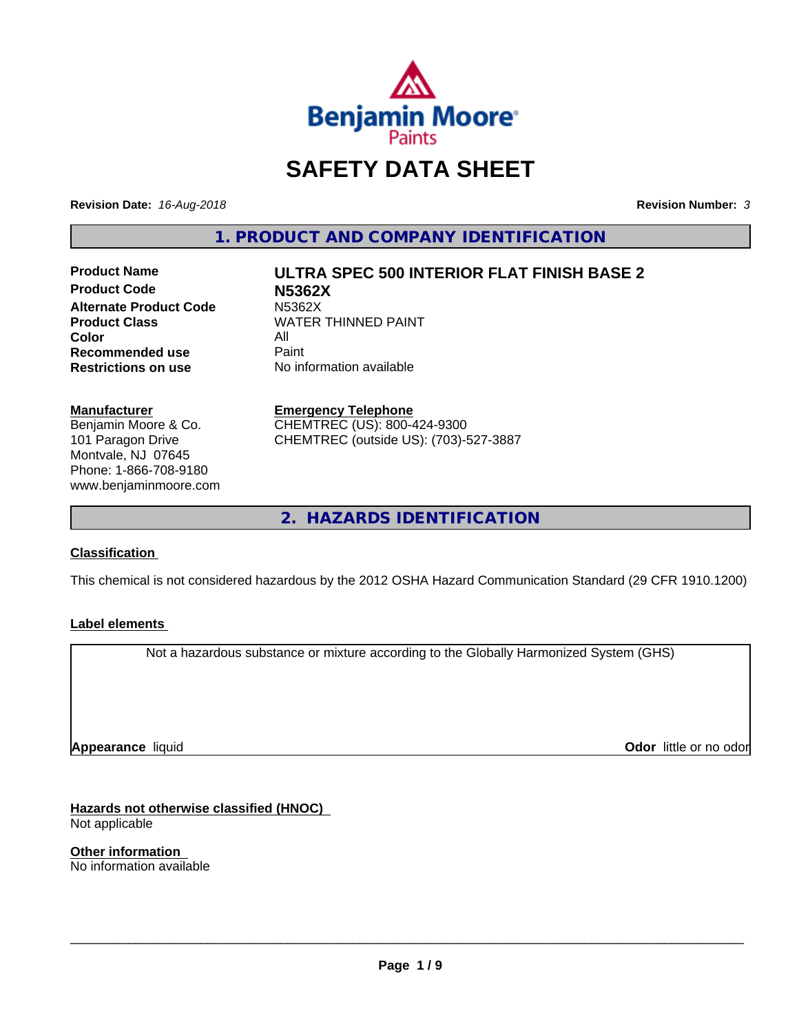

# **SAFETY DATA SHEET**

**Revision Date:** *16-Aug-2018* **Revision Number:** *3*

**1. PRODUCT AND COMPANY IDENTIFICATION**

**Product Code N5362X Alternate Product Code M5362X<br>Product Class MATER Color** All<br> **Recommended use** Paint **Recommended use**<br>Restrictions on use

# **Product Name ULTRA SPEC 500 INTERIOR FLAT FINISH BASE 2**

**WATER THINNED PAINT No information available** 

#### **Manufacturer**

Benjamin Moore & Co. 101 Paragon Drive Montvale, NJ 07645 Phone: 1-866-708-9180 www.benjaminmoore.com

# **Emergency Telephone** CHEMTREC (US): 800-424-9300

CHEMTREC (outside US): (703)-527-3887

**2. HAZARDS IDENTIFICATION**

# **Classification**

This chemical is not considered hazardous by the 2012 OSHA Hazard Communication Standard (29 CFR 1910.1200)

# **Label elements**

Not a hazardous substance or mixture according to the Globally Harmonized System (GHS)

**Appearance** liquid

**Odor** little or no odor

**Hazards not otherwise classified (HNOC)** Not applicable

**Other information** No information available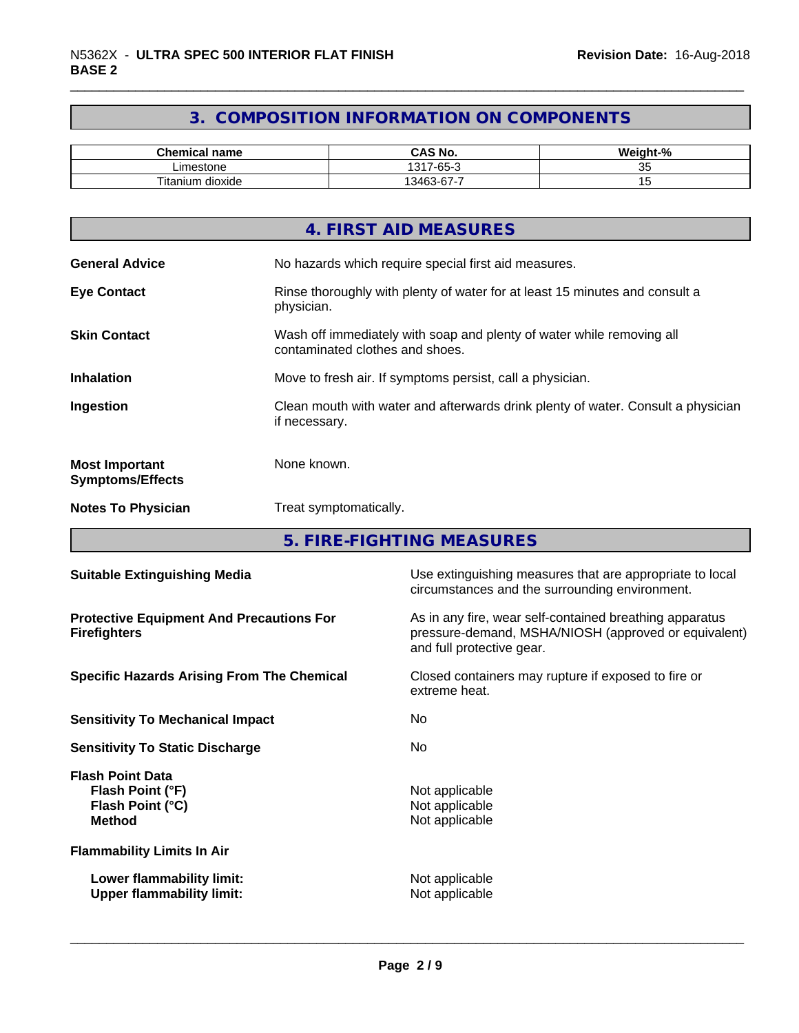# **3. COMPOSITION INFORMATION ON COMPONENTS**

| <b>Chemical name</b>           | CAS No.                                            | <br>$\sim$<br>velaht-",<br>- 70 |
|--------------------------------|----------------------------------------------------|---------------------------------|
| imestone                       | $\sim$<br>1317<br>$\overline{\phantom{a}}$<br>-65- | - -<br>vu                       |
| <br>--<br>dioxide<br>l itanium | -<br>$\sim$<br>13463<br>ີບ                         |                                 |

|                                                  | 4. FIRST AID MEASURES                                                                                    |
|--------------------------------------------------|----------------------------------------------------------------------------------------------------------|
| <b>General Advice</b>                            | No hazards which require special first aid measures.                                                     |
| <b>Eye Contact</b>                               | Rinse thoroughly with plenty of water for at least 15 minutes and consult a<br>physician.                |
| <b>Skin Contact</b>                              | Wash off immediately with soap and plenty of water while removing all<br>contaminated clothes and shoes. |
| <b>Inhalation</b>                                | Move to fresh air. If symptoms persist, call a physician.                                                |
| Ingestion                                        | Clean mouth with water and afterwards drink plenty of water. Consult a physician<br>if necessary.        |
| <b>Most Important</b><br><b>Symptoms/Effects</b> | None known.                                                                                              |
| <b>Notes To Physician</b>                        | Treat symptomatically.                                                                                   |
|                                                  |                                                                                                          |

**5. FIRE-FIGHTING MEASURES**

| <b>Suitable Extinguishing Media</b>                                              | Use extinguishing measures that are appropriate to local<br>circumstances and the surrounding environment.                                   |
|----------------------------------------------------------------------------------|----------------------------------------------------------------------------------------------------------------------------------------------|
| <b>Protective Equipment And Precautions For</b><br><b>Firefighters</b>           | As in any fire, wear self-contained breathing apparatus<br>pressure-demand, MSHA/NIOSH (approved or equivalent)<br>and full protective gear. |
| <b>Specific Hazards Arising From The Chemical</b>                                | Closed containers may rupture if exposed to fire or<br>extreme heat.                                                                         |
| <b>Sensitivity To Mechanical Impact</b>                                          | No.                                                                                                                                          |
| <b>Sensitivity To Static Discharge</b>                                           | No.                                                                                                                                          |
| <b>Flash Point Data</b><br>Flash Point (°F)<br>Flash Point (°C)<br><b>Method</b> | Not applicable<br>Not applicable<br>Not applicable                                                                                           |
| <b>Flammability Limits In Air</b>                                                |                                                                                                                                              |
| Lower flammability limit:<br><b>Upper flammability limit:</b>                    | Not applicable<br>Not applicable                                                                                                             |
|                                                                                  |                                                                                                                                              |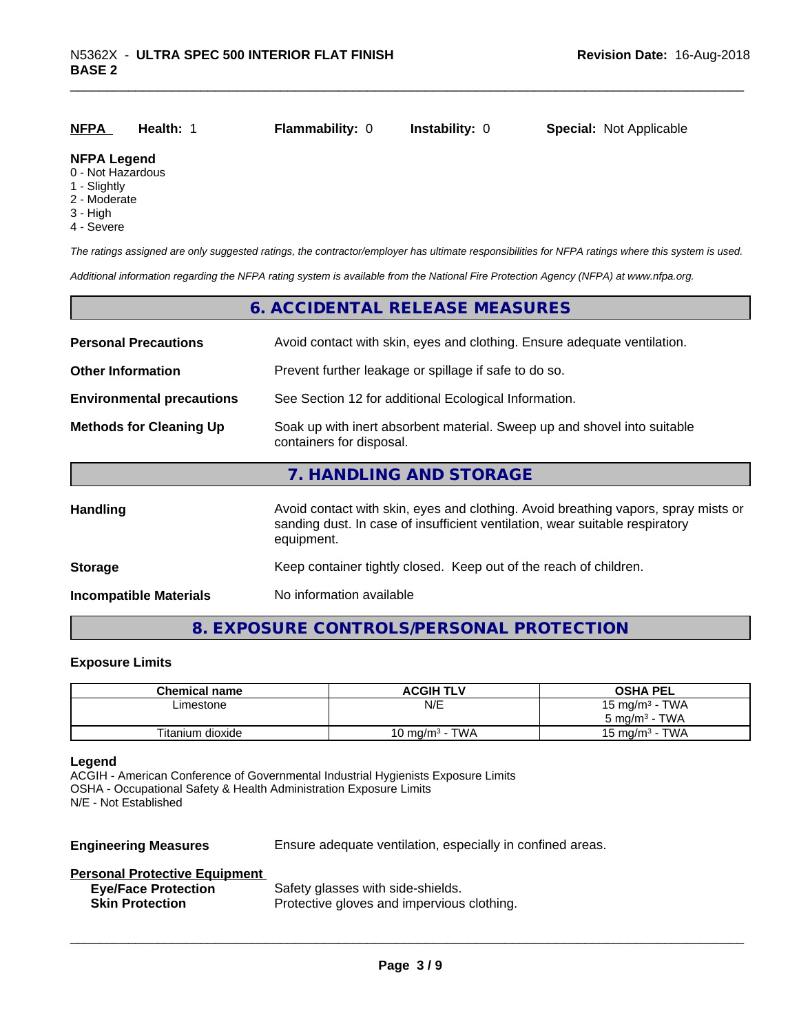| <u>NFPA</u>        | Health: 1 | <b>Flammability: 0</b> | <b>Instability: 0</b> | <b>Special: Not Applicable</b> |
|--------------------|-----------|------------------------|-----------------------|--------------------------------|
| <b>NFPA Legend</b> |           |                        |                       |                                |

#### 0 - Not Hazardous

- 1 Slightly
- 2 Moderate
- 3 High
- 4 Severe

*The ratings assigned are only suggested ratings, the contractor/employer has ultimate responsibilities for NFPA ratings where this system is used.*

*Additional information regarding the NFPA rating system is available from the National Fire Protection Agency (NFPA) at www.nfpa.org.*

## **6. ACCIDENTAL RELEASE MEASURES**

| <b>Personal Precautions</b>      | Avoid contact with skin, eyes and clothing. Ensure adequate ventilation.                                                                                                         |  |
|----------------------------------|----------------------------------------------------------------------------------------------------------------------------------------------------------------------------------|--|
| <b>Other Information</b>         | Prevent further leakage or spillage if safe to do so.                                                                                                                            |  |
| <b>Environmental precautions</b> | See Section 12 for additional Ecological Information.                                                                                                                            |  |
| <b>Methods for Cleaning Up</b>   | Soak up with inert absorbent material. Sweep up and shovel into suitable<br>containers for disposal.                                                                             |  |
|                                  | 7. HANDLING AND STORAGE                                                                                                                                                          |  |
| <b>Handling</b>                  | Avoid contact with skin, eyes and clothing. Avoid breathing vapors, spray mists or<br>sanding dust. In case of insufficient ventilation, wear suitable respiratory<br>equipment. |  |
| <b>Storage</b>                   | Keep container tightly closed. Keep out of the reach of children.                                                                                                                |  |
| <b>Incompatible Materials</b>    | No information available                                                                                                                                                         |  |

# **8. EXPOSURE CONTROLS/PERSONAL PROTECTION**

#### **Exposure Limits**

| <b>Chemical name</b> | <b>ACGIH TLV</b>                     | <b>OSHA PEL</b>                   |
|----------------------|--------------------------------------|-----------------------------------|
| ∟imestone            | N/E                                  | 15 mg/m <sup>3</sup> - TWA        |
|                      |                                      | <b>TWA</b><br>ა mg/m <sup>3</sup> |
| Titanium dioxide     | <b>TWA</b><br>10 mg/m <sup>3</sup> - | - TWA<br>$15 \text{ ma/m}^3$      |

#### **Legend**

ACGIH - American Conference of Governmental Industrial Hygienists Exposure Limits OSHA - Occupational Safety & Health Administration Exposure Limits N/E - Not Established

**Engineering Measures** Ensure adequate ventilation, especially in confined areas.

 $\overline{\phantom{a}}$  ,  $\overline{\phantom{a}}$  ,  $\overline{\phantom{a}}$  ,  $\overline{\phantom{a}}$  ,  $\overline{\phantom{a}}$  ,  $\overline{\phantom{a}}$  ,  $\overline{\phantom{a}}$  ,  $\overline{\phantom{a}}$  ,  $\overline{\phantom{a}}$  ,  $\overline{\phantom{a}}$  ,  $\overline{\phantom{a}}$  ,  $\overline{\phantom{a}}$  ,  $\overline{\phantom{a}}$  ,  $\overline{\phantom{a}}$  ,  $\overline{\phantom{a}}$  ,  $\overline{\phantom{a}}$ 

#### **Personal Protective Equipment**

| <b>Eye/Face Protection</b> | Safety glasses with side-shields.          |
|----------------------------|--------------------------------------------|
| <b>Skin Protection</b>     | Protective gloves and impervious clothing. |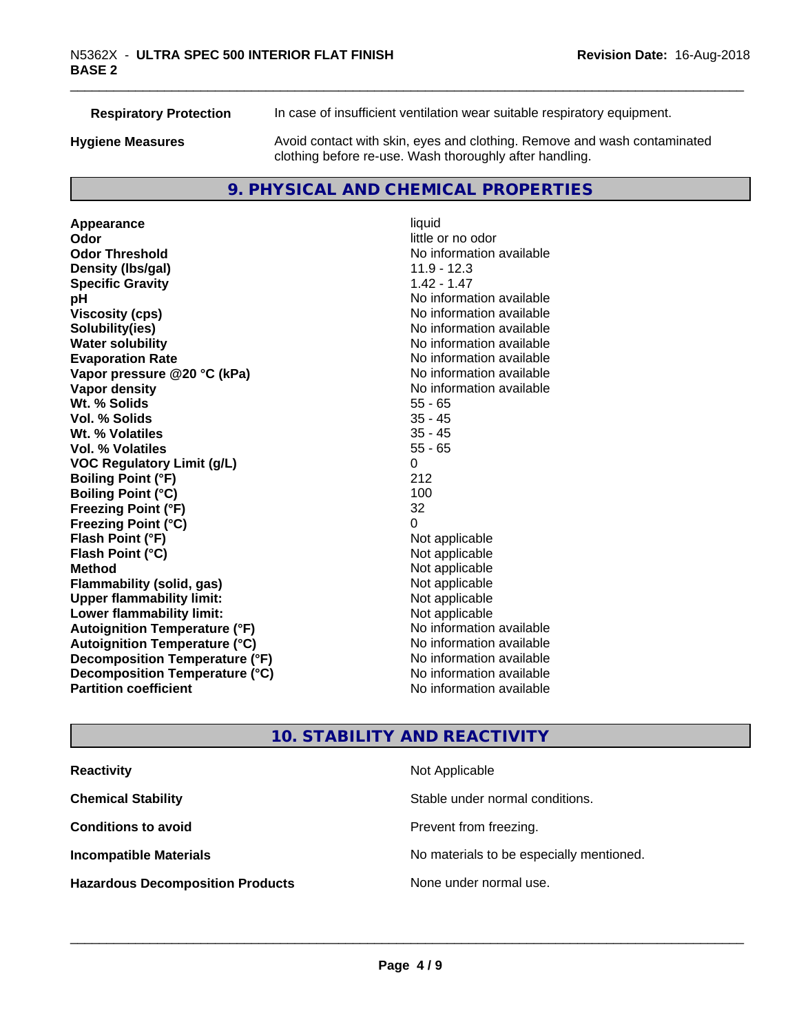**Respiratory Protection** In case of insufficient ventilation wear suitable respiratory equipment.

**Hygiene Measures** Avoid contact with skin, eyes and clothing. Remove and wash contaminated clothing before re-use. Wash thoroughly after handling.

# **9. PHYSICAL AND CHEMICAL PROPERTIES**

**Appearance** liquid **Odor** little or no odor **Odor Threshold** No information available **Density (Ibs/gal)** 11.9 - 12.3 **Specific Gravity** 1.42 - 1.47 **pH** No information available **Viscosity (cps)** No information available **Solubility(ies)** No information available **Evaporation Rate No information available No information available Vapor pressure @20 °C (kPa)** No information available **Vapor density No information available No** information available **Wt. % Solids** 55 - 65 **Vol. % Solids** 35 - 45 **Wt. % Volatiles Vol. % Volatiles** 55 - 65 **VOC Regulatory Limit (g/L)** 0 **Boiling Point (°F)** 212 **Boiling Point (°C)** 100 **Freezing Point (°F)** 32 **Freezing Point (°C)** 0 **Flash Point (°F)**<br> **Flash Point (°C)**<br> **Flash Point (°C)**<br> **C Flash Point (°C) Method** Not applicable **Flammability (solid, gas)** Not applicable<br> **Upper flammability limit:** Not applicable **Upper flammability limit: Lower flammability limit:** Not applicable **Autoignition Temperature (°F)** No information available **Autoignition Temperature (°C)** No information available **Decomposition Temperature (°F)** No information available **Decomposition Temperature (°C)** No information available **Partition coefficient Contract Contract Contract Contract Contract Contract Contract Contract Contract Contract Contract Contract Contract Contract Contract Contract Contract Contract Contract Contract Contract Contract** 

**No information available** 

# **10. STABILITY AND REACTIVITY**

| <b>Reactivity</b>                       | Not Applicable                           |
|-----------------------------------------|------------------------------------------|
| <b>Chemical Stability</b>               | Stable under normal conditions.          |
| <b>Conditions to avoid</b>              | Prevent from freezing.                   |
| <b>Incompatible Materials</b>           | No materials to be especially mentioned. |
| <b>Hazardous Decomposition Products</b> | None under normal use.                   |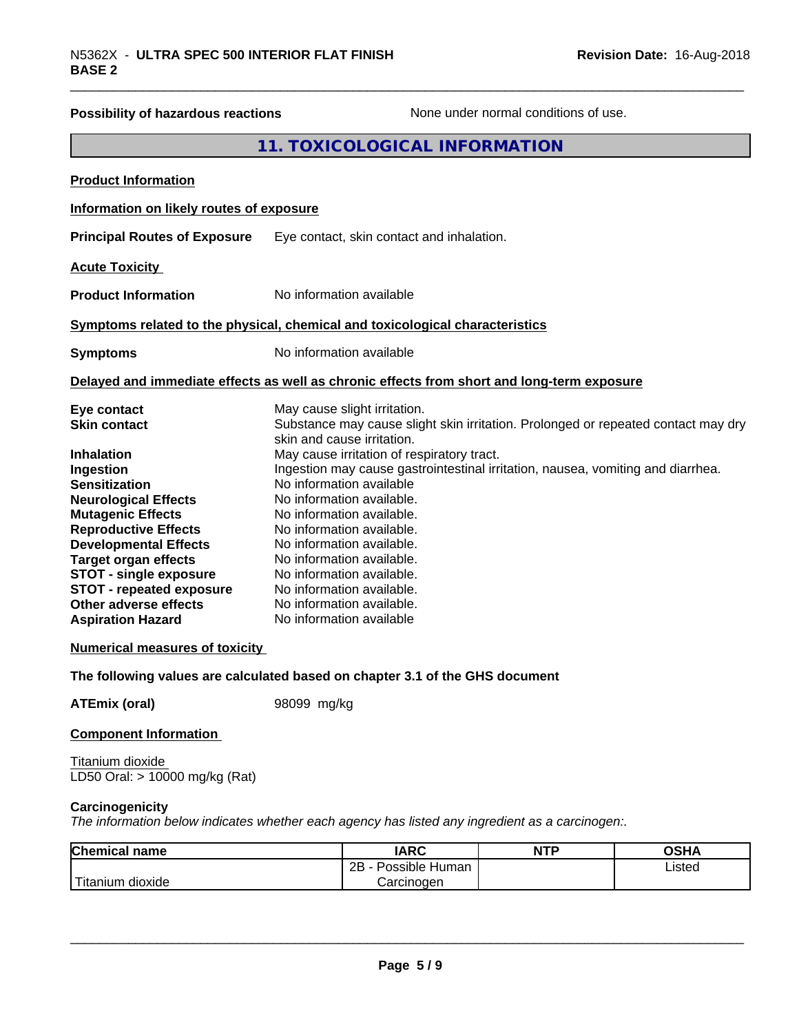| N5362X - ULTRA SPEC 500 INTERIOR FLAT FINISH<br><b>BASE 2</b>                                                                                                                                                                                                                                                                                                                                                                  |                                                                                                                                                                                                                                                                                                                                                                                                          | Revision Date: 16-Aug-2018                                                                                                                                           |
|--------------------------------------------------------------------------------------------------------------------------------------------------------------------------------------------------------------------------------------------------------------------------------------------------------------------------------------------------------------------------------------------------------------------------------|----------------------------------------------------------------------------------------------------------------------------------------------------------------------------------------------------------------------------------------------------------------------------------------------------------------------------------------------------------------------------------------------------------|----------------------------------------------------------------------------------------------------------------------------------------------------------------------|
| <b>Possibility of hazardous reactions</b>                                                                                                                                                                                                                                                                                                                                                                                      |                                                                                                                                                                                                                                                                                                                                                                                                          | None under normal conditions of use.                                                                                                                                 |
|                                                                                                                                                                                                                                                                                                                                                                                                                                | 11. TOXICOLOGICAL INFORMATION                                                                                                                                                                                                                                                                                                                                                                            |                                                                                                                                                                      |
| <b>Product Information</b>                                                                                                                                                                                                                                                                                                                                                                                                     |                                                                                                                                                                                                                                                                                                                                                                                                          |                                                                                                                                                                      |
| Information on likely routes of exposure                                                                                                                                                                                                                                                                                                                                                                                       |                                                                                                                                                                                                                                                                                                                                                                                                          |                                                                                                                                                                      |
| <b>Principal Routes of Exposure</b>                                                                                                                                                                                                                                                                                                                                                                                            | Eye contact, skin contact and inhalation.                                                                                                                                                                                                                                                                                                                                                                |                                                                                                                                                                      |
| <b>Acute Toxicity</b>                                                                                                                                                                                                                                                                                                                                                                                                          |                                                                                                                                                                                                                                                                                                                                                                                                          |                                                                                                                                                                      |
| <b>Product Information</b>                                                                                                                                                                                                                                                                                                                                                                                                     | No information available                                                                                                                                                                                                                                                                                                                                                                                 |                                                                                                                                                                      |
|                                                                                                                                                                                                                                                                                                                                                                                                                                | Symptoms related to the physical, chemical and toxicological characteristics                                                                                                                                                                                                                                                                                                                             |                                                                                                                                                                      |
| <b>Symptoms</b>                                                                                                                                                                                                                                                                                                                                                                                                                | No information available                                                                                                                                                                                                                                                                                                                                                                                 |                                                                                                                                                                      |
|                                                                                                                                                                                                                                                                                                                                                                                                                                | Delayed and immediate effects as well as chronic effects from short and long-term exposure                                                                                                                                                                                                                                                                                                               |                                                                                                                                                                      |
| Eye contact<br><b>Skin contact</b><br><b>Inhalation</b><br>Ingestion<br><b>Sensitization</b><br><b>Neurological Effects</b><br><b>Mutagenic Effects</b><br><b>Reproductive Effects</b><br><b>Developmental Effects</b><br><b>Target organ effects</b><br><b>STOT - single exposure</b><br><b>STOT - repeated exposure</b><br><b>Other adverse effects</b><br><b>Aspiration Hazard</b><br><b>Numerical measures of toxicity</b> | May cause slight irritation.<br>skin and cause irritation.<br>May cause irritation of respiratory tract.<br>No information available<br>No information available.<br>No information available.<br>No information available.<br>No information available.<br>No information available.<br>No information available.<br>No information available.<br>No information available.<br>No information available | Substance may cause slight skin irritation. Prolonged or repeated contact may dry<br>Ingestion may cause gastrointestinal irritation, nausea, vomiting and diarrhea. |
|                                                                                                                                                                                                                                                                                                                                                                                                                                | The following values are calculated based on chapter 3.1 of the GHS document                                                                                                                                                                                                                                                                                                                             |                                                                                                                                                                      |
| <b>ATEmix (oral)</b>                                                                                                                                                                                                                                                                                                                                                                                                           | 98099 mg/kg                                                                                                                                                                                                                                                                                                                                                                                              |                                                                                                                                                                      |
| <b>Component Information</b>                                                                                                                                                                                                                                                                                                                                                                                                   |                                                                                                                                                                                                                                                                                                                                                                                                          |                                                                                                                                                                      |
| Titanium dioxide<br>LD50 Oral: > 10000 mg/kg (Rat)                                                                                                                                                                                                                                                                                                                                                                             |                                                                                                                                                                                                                                                                                                                                                                                                          |                                                                                                                                                                      |

#### **Carcinogenicity**

*The information below indicateswhether each agency has listed any ingredient as a carcinogen:.*

| <b>Chemical</b><br>name        | <b>IARC</b>                    | <b>NTP</b> | <b>OSHA</b> |
|--------------------------------|--------------------------------|------------|-------------|
|                                | . .<br>2B<br>Possible<br>Human |            | Listed<br>. |
| .<br>dioxide<br><b>itanium</b> | Carcinogen                     |            |             |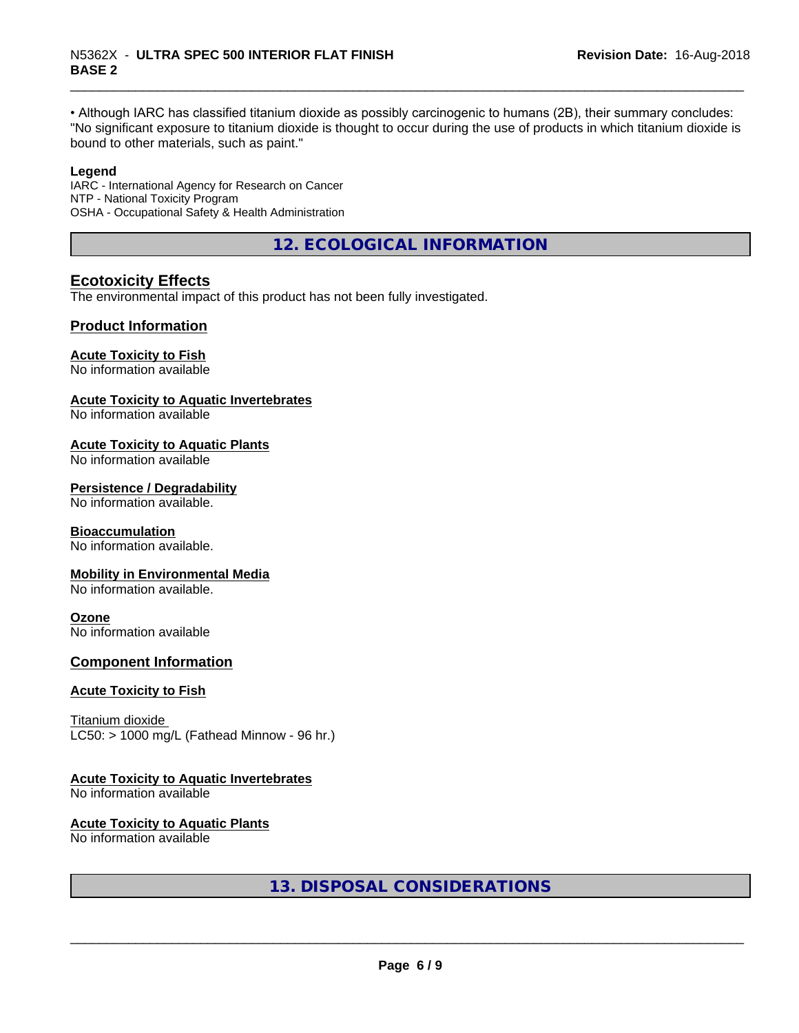• Although IARC has classified titanium dioxide as possibly carcinogenic to humans (2B), their summary concludes: "No significant exposure to titanium dioxide is thought to occur during the use of products in which titanium dioxide is bound to other materials, such as paint."

#### **Legend**

IARC - International Agency for Research on Cancer NTP - National Toxicity Program OSHA - Occupational Safety & Health Administration

**12. ECOLOGICAL INFORMATION**

# **Ecotoxicity Effects**

The environmental impact of this product has not been fully investigated.

# **Product Information**

#### **Acute Toxicity to Fish**

No information available

#### **Acute Toxicity to Aquatic Invertebrates**

No information available

#### **Acute Toxicity to Aquatic Plants**

No information available

#### **Persistence / Degradability**

No information available.

#### **Bioaccumulation**

No information available.

#### **Mobility in Environmental Media**

No information available.

#### **Ozone**

No information available

# **Component Information**

#### **Acute Toxicity to Fish**

Titanium dioxide  $LC50:$  > 1000 mg/L (Fathead Minnow - 96 hr.)

# **Acute Toxicity to Aquatic Invertebrates**

No information available

#### **Acute Toxicity to Aquatic Plants**

No information available

**13. DISPOSAL CONSIDERATIONS**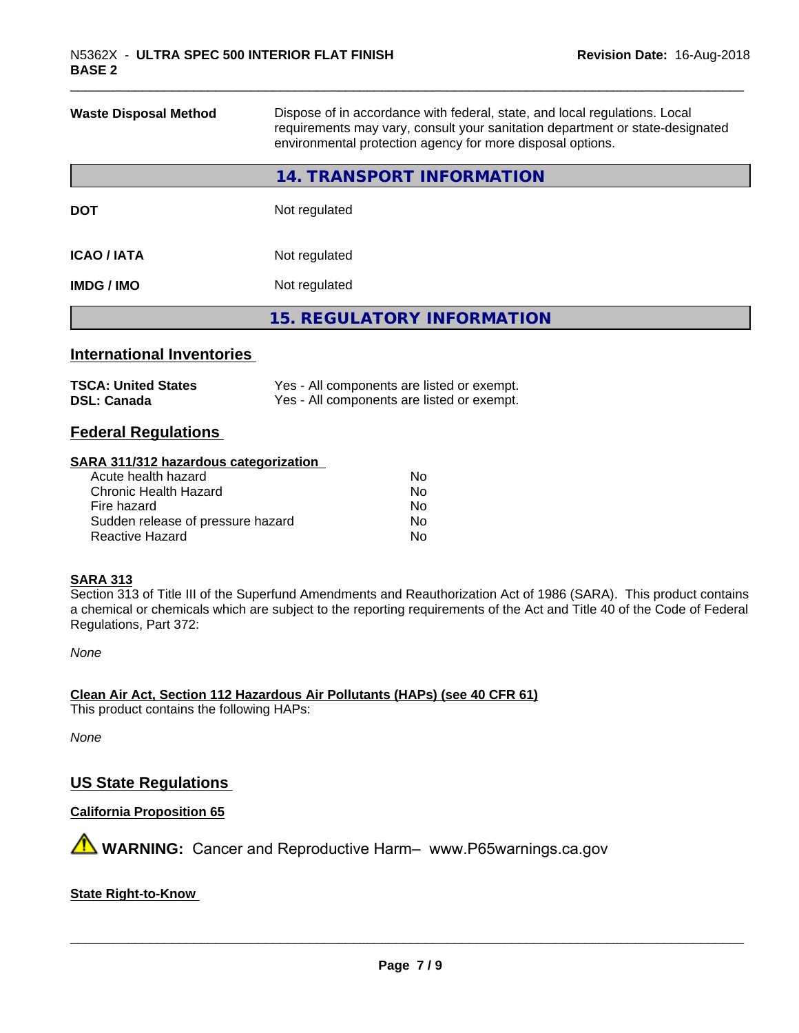| <b>Waste Disposal Method</b> | Dispose of in accordance with federal, state, and local regulations. Local<br>requirements may vary, consult your sanitation department or state-designated<br>environmental protection agency for more disposal options. |
|------------------------------|---------------------------------------------------------------------------------------------------------------------------------------------------------------------------------------------------------------------------|
|                              | 14. TRANSPORT INFORMATION                                                                                                                                                                                                 |
| <b>DOT</b>                   | Not regulated                                                                                                                                                                                                             |
| <b>ICAO / IATA</b>           | Not regulated                                                                                                                                                                                                             |
| <b>IMDG / IMO</b>            | Not regulated                                                                                                                                                                                                             |
|                              | <b>15. REGULATORY INFORMATION</b>                                                                                                                                                                                         |
|                              |                                                                                                                                                                                                                           |

# **International Inventories**

| <b>TSCA: United States</b> | Yes - All components are listed or exempt. |
|----------------------------|--------------------------------------------|
| <b>DSL: Canada</b>         | Yes - All components are listed or exempt. |

# **Federal Regulations**

#### **SARA 311/312 hazardous categorization**

| Acute health hazard               | No |
|-----------------------------------|----|
| Chronic Health Hazard             | Nο |
| Fire hazard                       | No |
| Sudden release of pressure hazard | Nο |
| Reactive Hazard                   | Nο |

#### **SARA 313**

Section 313 of Title III of the Superfund Amendments and Reauthorization Act of 1986 (SARA). This product contains a chemical or chemicals which are subject to the reporting requirements of the Act and Title 40 of the Code of Federal Regulations, Part 372:

*None*

**Clean Air Act,Section 112 Hazardous Air Pollutants (HAPs) (see 40 CFR 61)**

This product contains the following HAPs:

*None*

# **US State Regulations**

**California Proposition 65**

**AVIMARNING:** Cancer and Reproductive Harm– www.P65warnings.ca.gov

#### **State Right-to-Know**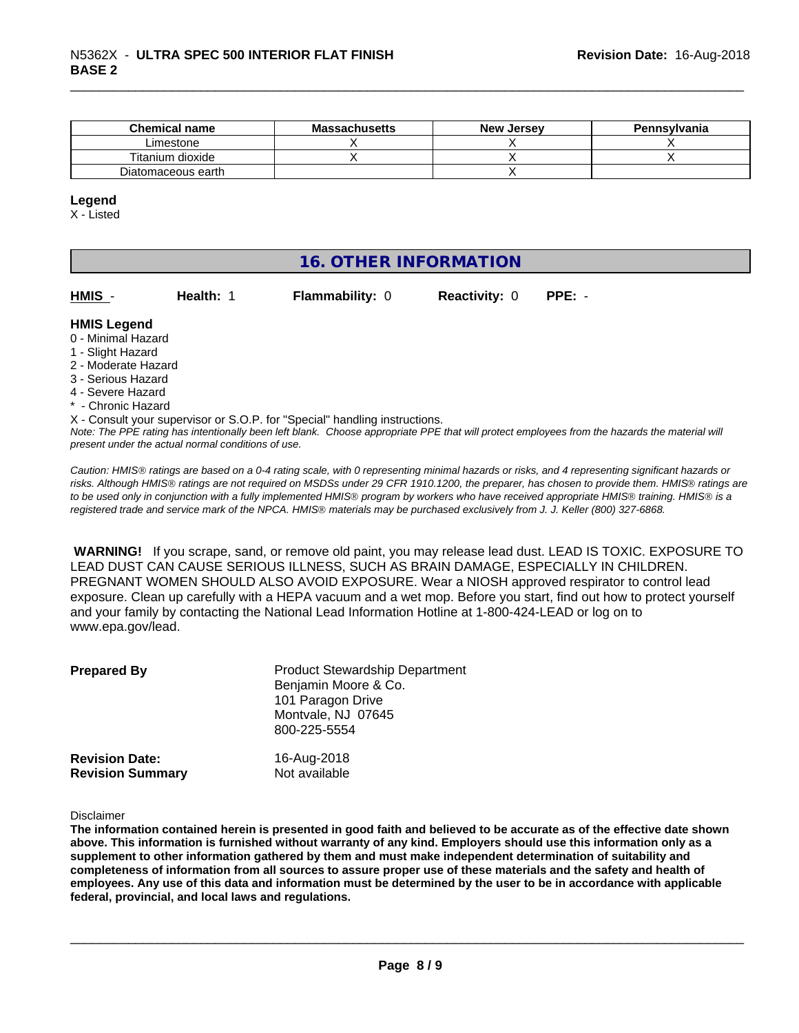| <b>Chemical name</b> | <b>Massachusetts</b> | <b>New</b><br>. Jersev | Pennsylvania |
|----------------------|----------------------|------------------------|--------------|
| Limestone            |                      |                        |              |
| Titanium dioxide     |                      |                        |              |
| Diatomaceous earth   |                      |                        |              |

#### **Legend**

X - Listed

# **16. OTHER INFORMATION** *Note: The PPE rating has intentionally been left blank. Choose appropriate PPE that will protect employees from the hazards the material will present under the actual normal conditions of use.* **HMIS** - **Health:** 1 **Flammability:** 0 **Reactivity:** 0 **PPE:** - **HMIS Legend** 0 - Minimal Hazard 1 - Slight Hazard 2 - Moderate Hazard 3 - Serious Hazard 4 - Severe Hazard \* - Chronic Hazard X - Consult your supervisor or S.O.P. for "Special" handling instructions.

*Caution: HMISÒ ratings are based on a 0-4 rating scale, with 0 representing minimal hazards or risks, and 4 representing significant hazards or risks. Although HMISÒ ratings are not required on MSDSs under 29 CFR 1910.1200, the preparer, has chosen to provide them. HMISÒ ratings are to be used only in conjunction with a fully implemented HMISÒ program by workers who have received appropriate HMISÒ training. HMISÒ is a registered trade and service mark of the NPCA. HMISÒ materials may be purchased exclusively from J. J. Keller (800) 327-6868.*

 **WARNING!** If you scrape, sand, or remove old paint, you may release lead dust. LEAD IS TOXIC. EXPOSURE TO LEAD DUST CAN CAUSE SERIOUS ILLNESS, SUCH AS BRAIN DAMAGE, ESPECIALLY IN CHILDREN. PREGNANT WOMEN SHOULD ALSO AVOID EXPOSURE.Wear a NIOSH approved respirator to control lead exposure. Clean up carefully with a HEPA vacuum and a wet mop. Before you start, find out how to protect yourself and your family by contacting the National Lead Information Hotline at 1-800-424-LEAD or log on to www.epa.gov/lead.

| <b>Prepared By</b>      | <b>Product Stewardship Department</b><br>Benjamin Moore & Co.<br>101 Paragon Drive<br>Montvale, NJ 07645<br>800-225-5554 |
|-------------------------|--------------------------------------------------------------------------------------------------------------------------|
| <b>Revision Date:</b>   | 16-Aug-2018                                                                                                              |
| <b>Revision Summary</b> | Not available                                                                                                            |

Disclaimer

The information contained herein is presented in good faith and believed to be accurate as of the effective date shown above. This information is furnished without warranty of any kind. Employers should use this information only as a **supplement to other information gathered by them and must make independent determination of suitability and** completeness of information from all sources to assure proper use of these materials and the safety and health of employees. Any use of this data and information must be determined by the user to be in accordance with applicable **federal, provincial, and local laws and regulations.**